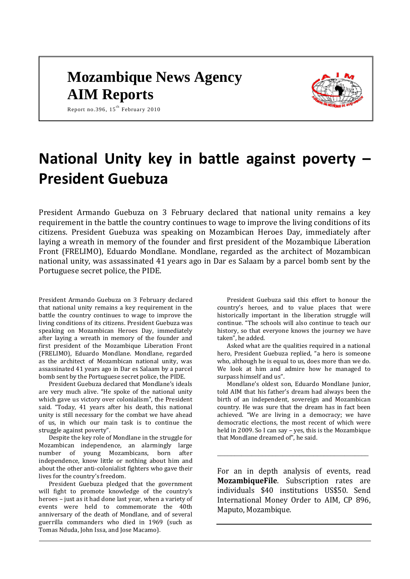# **Mozambique News Agency AIM Reports**



Report no.396,  $15^{th}$  February 2010

# **National Unity key in battle against poverty – President Guebuza**

President Armando Guebuza on 3 February declared that national unity remains a key requirement in the battle the country continues to wage to improve the living conditions of its citizens. President Guebuza was speaking on Mozambican Heroes Day, immediately after laying a wreath in memory of the founder and first president of the Mozambique Liberation Front (FRELIMO), Eduardo Mondlane. Mondlane, regarded as the architect of Mozambican national unity, was assassinated 41 years ago in Dar es Salaam by a parcel bomb sent by the Portuguese secret police, the PIDE.

President Armando Guebuza on 3 February declared that national unity remains a key requirement in the battle the country continues to wage to improve the living conditions of its citizens. President Guebuza was speaking on Mozambican Heroes Day, immediately after laying a wreath in memory of the founder and first president of the Mozambique Liberation Front (FRELIMO), Eduardo Mondlane. Mondlane, regarded as the architect of Mozambican national unity, was assassinated 41 years ago in Dar es Salaam by a parcel bomb sent by the Portuguese secret police, the PIDE.

President Guebuza declared that Mondlane's ideals are very much alive. "He spoke of the national unity which gave us victory over colonialism", the President said. "Today, 41 years after his death, this national unity is still necessary for the combat we have ahead of us, in which our main task is to continue the struggle against poverty".

Despite the key role of Mondlane in the struggle for Mozambican independence, an alarmingly large number of young Mozambicans, born after independence, know little or nothing about him and about the other anti-colonialist fighters who gave their lives for the country's freedom.

President Guebuza pledged that the government will fight to promote knowledge of the country's heroes – just as it had done last year, when a variety of events were held to commemorate the 40th anniversary of the death of Mondlane, and of several guerrilla commanders who died in 1969 (such as Tomas Nduda, John Issa, and Jose Macamo).

President Guebuza said this effort to honour the country's heroes, and to value places that were historically important in the liberation struggle will continue. "The schools will also continue to teach our history, so that everyone knows the journey we have taken", he added.

Asked what are the qualities required in a national hero, President Guebuza replied, "a hero is someone who, although he is equal to us, does more than we do. We look at him and admire how he managed to surpass himself and us".

Mondlane's oldest son, Eduardo Mondlane Junior, told AIM that his father's dream had always been the birth of an independent, sovereign and Mozambican country. He was sure that the dream has in fact been achieved. "We are living in a democracy; we have democratic elections, the most recent of which were held in 2009. So I can say – yes, this is the Mozambique that Mondlane dreamed of", he said.

For an in depth analysis of events, read **MozambiqueFile**. Subscription rates are individuals \$40 institutions US\$50. Send International Money Order to AIM, CP 896, Maputo, Mozambique.

\_\_\_\_\_\_\_\_\_\_\_\_\_\_\_\_\_\_\_\_\_\_\_\_\_\_\_\_\_\_\_\_\_\_\_\_\_\_\_\_\_\_\_\_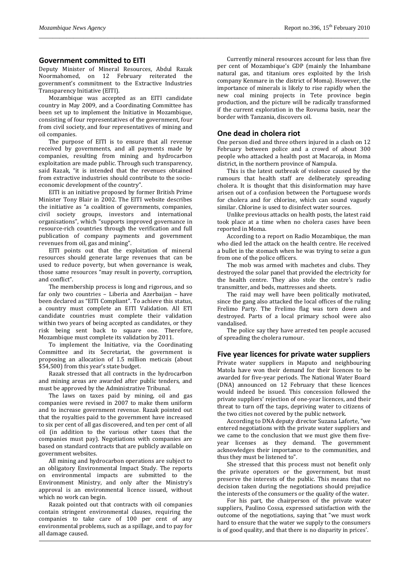#### **Government committed to EITI**

Deputy Minister of Mineral Resources, Abdul Razak Noormahomed, on 12 February reiterated the government's commitment to the Extractive Industries Transparency Initiative (EITI).

Mozambique was accepted as an EITI candidate country in May 2009, and a Coordinating Committee has been set up to implement the Initiative in Mozambique. consisting of four representatives of the government, four from civil society, and four representatives of mining and oil companies.

The purpose of EITI is to ensure that all revenue received by governments, and all payments made by companies, resulting from mining and hydrocarbon exploitation are made public. Through such transparency, said Razak, "it is intended that the revenues obtained from extractive industries should contribute to the socioeconomic development of the country".

EITI is an initiative proposed by former British Prime Minister Tony Blair in 2002. The EITI website describes the initiative as "a coalition of governments, companies, civil society groups, investors and international organisations", which "supports improved governance in resource-rich countries through the verification and full publication of company payments and government revenues from oil, gas and mining".

EITI points out that the exploitation of mineral resources should generate large revenues that can be used to reduce poverty, but when governance is weak, those same resources "may result in poverty, corruption, and conflict".

The membership process is long and rigorous, and so far only two countries – Liberia and Azerbaijan – have been declared as "EITI Compliant". To achieve this status, a country must complete an EITI Validation. All ETI candidate countries must complete their validation within two years of being accepted as candidates, or they risk being sent back to square one. Therefore, Mozambique must complete its validation by 2011.

To implement the Initiative, via the Coordinating Committee and its Secretariat, the government is proposing an allocation of 1.5 million meticais (about \$54,500) from this year's state budget.

Razak stressed that all contracts in the hydrocarbon and mining areas are awarded after public tenders, and must be approved by the Administrative Tribunal.

The laws on taxes paid by mining, oil and gas companies were revised in 2007 to make them uniform and to increase government revenue. Razak pointed out that the royalties paid to the government have increased to six per cent of all gas discovered, and ten per cent of all oil (in addition to the various other taxes that the companies must pay). Negotiations with companies are based on standard contracts that are publicly available on government websites.

All mining and hydrocarbon operations are subject to an obligatory Environmental Impact Study. The reports on environmental impacts are submitted to the Environment Ministry, and only after the Ministry's approval is an environmental licence issued, without which no work can begin.

Razak pointed out that contracts with oil companies contain stringent environmental clauses, requiring the companies to take care of 100 per cent of any environmental problems, such as a spillage, and to pay for all damage caused.

Currently mineral resources account for less than five per cent of Mozambique's GDP (mainly the Inhambane natural gas, and titanium ores exploited by the Irish company Kenmare in the district of Moma). However, the importance of minerals is likely to rise rapidly when the new coal mining projects in Tete province begin production, and the picture will be radically transformed if the current exploration in the Rovuma basin, near the border with Tanzania, discovers oil.

#### **One dead in cholera riot**

*\_\_\_\_\_\_\_\_\_\_\_\_\_\_\_\_\_\_\_\_\_\_\_\_\_\_\_\_\_\_\_\_\_\_\_\_\_\_\_\_\_\_\_\_\_\_\_\_\_\_\_\_\_\_\_\_\_\_\_\_\_\_\_\_\_\_\_\_\_\_\_\_\_\_\_\_\_\_\_\_\_\_\_\_\_\_\_\_\_\_\_\_\_\_\_\_*

One person died and three others injured in a clash on 12 February between police and a crowd of about 300 people who attacked a health post at Macaroja, in Moma district, in the northern province of Nampula.

This is the latest outbreak of violence caused by the rumours that health staff are deliberately spreading cholera. It is thought that this disinformation may have arisen out of a confusion between the Portuguese words for cholera and for chlorine, which can sound vaguely similar. Chlorine is used to disinfect water sources.

Unlike previous attacks on health posts, the latest raid took place at a time when no cholera cases have been reported in Moma.

According to a report on Radio Mozambique, the man who died led the attack on the health centre. He received a bullet in the stomach when he was trying to seize a gun from one of the police officers.

The mob was armed with machetes and clubs. They destroyed the solar panel that provided the electricity for the health centre. They also stole the centre's radio transmitter, and beds, mattresses and sheets.

The raid may well have been politically motivated, since the gang also attacked the local offices of the ruling Frelimo Party. The Frelimo flag was torn down and destroyed. Parts of a local primary school were also vandalised.

The police say they have arrested ten people accused of spreading the cholera rumour.

#### **Five year licences for private water suppliers**

Private water suppliers in Maputo and neighbouring Matola have won their demand for their licences to be awarded for five-year periods. The National Water Board (DNA) announced on 12 February that these licences would indeed be issued. This concession followed the private suppliers' rejection of one-year licences, and their threat to turn off the taps, depriving water to citizens of the two cities not covered by the public network.

According to DNA deputy director Suzana Laforte, "we entered negotiations with the private water suppliers and we came to the conclusion that we must give them fiveyear licenses as they demand. The government acknowledges their importance to the communities, and thus they must be listened to".

She stressed that this process must not benefit only the private operators or the government, but must preserve the interests of the public. This means that no decision taken during the negotiations should prejudice the interests of the consumers or the quality of the water.

For his part, the chairperson of the private water suppliers, Paulino Cossa, expressed satisfaction with the outcome of the negotiations, saying that "we must work hard to ensure that the water we supply to the consumers is of good quality, and that there is no disparity in prices'.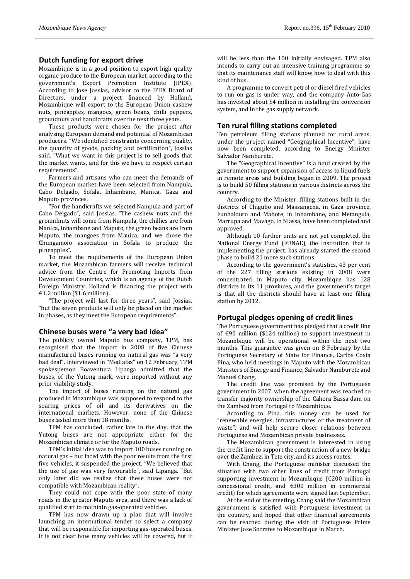## **Dutch funding for export drive**

Mozambique is in a good position to export high quality organic produce to the European market, according to the government's Export Promotion Institute (IPEX). According to Jose Jossias, advisor to the IPEX Board of Directors, under a project financed by Holland, Mozambique will export to the European Union cashew nuts, pineapples, mangoes, green beans, chilli peppers, groundnuts and handicrafts over the next three years.

These products were chosen for the project after analysing European demand and potential of Mozambican producers. "We identified constraints concerning quality, the quantity of goods, packing and certification", Jossias said. "What we want in this project is to sell goods that the market wants, and for this we have to respect certain requirements".

Farmers and artisans who can meet the demands of the European market have been selected from Nampula, Cabo Delgado, Sofala, Inhambane, Manica, Gaza and Maputo provinces.

"For the handicrafts we selected Nampula and part of Cabo Delgado", said Jossias. "The cashew nuts and the groundnuts will come from Nampula, the chillies are from Manica, Inhambane and Maputo, the green beans are from Maputo, the mangoes from Manica, and we chose the Chungamoio association in Sofala to produce the pineapples".

To meet the requirements of the European Union market, the Mozambican farmers will receive technical advice from the Centre for Promoting Imports from Development Countries, which is an agency of the Dutch Foreign Ministry. Holland is financing the project with €1.2 million (\$1.6 million).

"The project will last for three years", said Jossias, "but the seven products will only be placed on the market in phases, as they meet the European requirements".

#### **Chinese buses were "a very bad idea"**

The publicly owned Maputo bus company, TPM, has recognised that the import in 2008 of five Chinese manufactured buses running on natural gas was "a very bad deal". Interviewed in "Mediafax" on 12 February, TPM spokesperson Boaventura Lipanga admitted that the buses, of the Yutong mark, were imported without any prior viability study.

The import of buses running on the natural gas produced in Mozambique was supposed to respond to the soaring prices of oil and its derivatives on the international markets. However, none of the Chinese buses lasted more than 18 months.

TPM has concluded, rather late in the day, that the Yutong buses are not appropriate either for the Mozambican climate or for the Maputo roads.

TPM's initial idea was to import 100 buses running on natural gas – but faced with the poor results from the first five vehicles, it suspended the project. "We believed that the use of gas was very favourable", said Lipanga. "But only later did we realize that these buses were not compatible with Mozambican reality".

They could not cope with the poor state of many roads in the greater Maputo area, and there was a lack of qualified staff to maintain gas-operated vehicles.

TPM has now drawn up a plan that will involve launching an international tender to select a company that will be responsible for importing gas-operated buses. It is not clear how many vehicles will be covered, but it

will be less than the 100 initially envisaged. TPM also intends to carry out an intensive training programme so that its maintenance staff will know how to deal with this kind of bus.

A programme to convert petrol or diesel fired vehicles to run on gas is under way, and the company Auto-Gas has invested about \$4 million in installing the conversion system, and in the gas supply network.

## **Ten rural filling stations completed**

Ten petroleum filling stations planned for rural areas, under the project named "Geographical Incentive", have now been completed, according to Energy Minister Salvador Namburete.

The "Geographical Incentive" is a fund created by the government to support expansion of access to liquid fuels in remote areas and building began in 2009. The project is to build 50 filling stations in various districts across the country.

According to the Minister, filling stations built in the districts of Chigubo and Massangena, in Gaza province, Funhalouro and Mabote, in Inhambane, and Metangula, Marrupa and Mavago, in Niassa, have been completed and approved.

Although 10 further units are not yet completed, the National Energy Fund (FUNAE), the institution that is implementing the project, has already started the second phase to build 21 more such stations.

According to the government's statistics, 43 per cent of the 227 filling stations existing in 2008 were concentrated in Maputo city. Mozambique has 128 districts in its 11 provinces, and the government's target is that all the districts should have at least one filling station by 2012.

# **Portugal pledges opening of credit lines**

The Portuguese government has pledged that a credit line of €90 million (\$124 million) to support investment in Mozambique will be operational within the next two months. This guarantee was given on 8 February by the Portuguese Secretary of State for Finance, Carlos Costa Pina, who held meetings in Maputo with the Mozambican Ministers of Energy and Finance, Salvador Namburete and Manuel Chang.

The credit line was promised by the Portuguese government in 2007, when the agreement was reached to transfer majority ownership of the Cahora Bassa dam on the Zambezi from Portugal to Mozambique.

According to Pina, this money can be used for "renewable energies, infrastructures or the treatment of waste", and will help secure closer relations between Portuguese and Mozambican private businesses.

The Mozambican government is interested in using the credit line to support the construction of a new bridge over the Zambezi in Tete city, and its access routes.

With Chang, the Portuguese minister discussed the situation with two other lines of credit from Portugal supporting investment in Mozambique (€200 million in concessional credit, and €300 million in commercial credit) for which agreements were signed last September.

At the end of the meeting, Chang said the Mozambican government is satisfied with Portuguese investment in the country, and hoped that other financial agreements can be reached during the visit of Portuguese Prime Minister Jose Socrates to Mozambique in March.